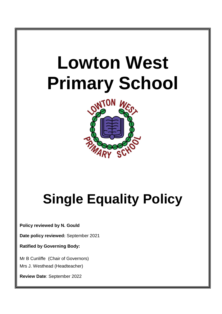

# **Single Equality Policy**

**Policy reviewed by N. Gould**

**Date policy reviewed:** September 2021

**Ratified by Governing Body:**

Mr B Cunliffe (Chair of Governors) Mrs J. Westhead (Headteacher)

**Review Date**: September 2022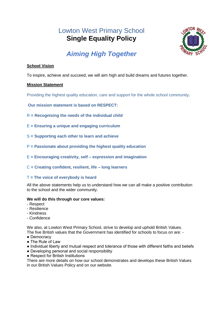# Lowton West Primary School **Single Equality Policy**



# *Aiming High Together*

# **School Vision**

To inspire, achieve and succeed, we will aim high and build dreams and futures together.

# **Mission Statement**

Providing the highest quality education, care and support for the whole school community**.**

**Our mission statement is based on RESPECT:**

- R **= Recognising the needs of the individual child**
- E **= Ensuring a unique and engaging curriculum**
- S **= Supporting each other to learn and achieve**
- P **= Passionate about providing the highest quality education**
- E **= Encouraging creativity, self – expression and imagination**
- C **= Creating confident, resilient, life – long learners**

# T **= The voice of everybody is heard**

All the above statements help us to understand how we can all make a positive contribution to the school and the wider community.

# **We will do this through our core values:**

- Respect
- Resilience
- Kindness
- Confidence

We also, at Lowton West Primary School, strive to develop and uphold British Values. The five British values that the Government has identified for schools to focus on are: -

- Democracy
- The Rule of Law
- Individual liberty and mutual respect and tolerance of those with different faiths and beliefs
- Developing personal and social responsibility
- Respect for British Institutions

There are more details on how our school demonstrates and develops these British Values in our British Values Policy and on our website.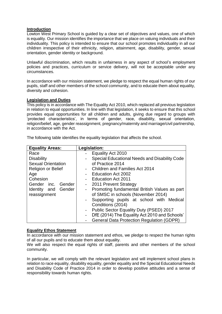#### **Introduction**

Lowton West Primary School is guided by a clear set of objectives and values, one of which is equality. Our mission identifies the importance that we place on valuing individuals and their individuality. This policy is intended to ensure that our school promotes individuality in all our children irrespective of their ethnicity, religion, attainment, age, disability, gender, sexual orientation, gender identity or background.

Unlawful discrimination, which results in unfairness in any aspect of school's employment policies and practices, curriculum or service delivery, will not be acceptable under any circumstances.

In accordance with our mission statement, we pledge to respect the equal human rights of our pupils, staff and other members of the school community, and to educate them about equality, diversity and cohesion.

#### **Legislation and Duties**

This policy is in accordance with The Equality Act 2010, which replaced all previous legislation in relation to equal opportunities. In line with that legislation, it seeks to ensure that this school provides equal opportunities for all children and adults, giving due regard to groups with 'protected characteristics', in terms of gender, race, disability, sexual orientation, religion/belief, age, gender reassignment, pregnancy/maternity and marriage/civil partnership, in accordance with the Act.

| <b>Equality Areas:</b>    | Legislation:                                                              |
|---------------------------|---------------------------------------------------------------------------|
| Race                      | Equality Act 2010                                                         |
| <b>Disability</b>         | Special Educational Needs and Disability Code<br>$\overline{a}$           |
| <b>Sexual Orientation</b> | of Practice 2014                                                          |
| <b>Religion or Belief</b> | <b>Children and Families Act 2014</b><br>$\overline{\phantom{0}}$         |
| Age                       | Education Act 2002                                                        |
| Cohesion                  | <b>Education Act 2011</b>                                                 |
| Gender inc. Gender        | 2011 Prevent Strategy<br>$\overline{a}$                                   |
| Identity and Gender       | Promoting fundamental British Values as part<br>$\blacksquare$            |
| reassignment              | of SMSC in schools (November 2014)                                        |
|                           | Supporting pupils at school with Medical<br>$\qquad \qquad -$             |
|                           | Conditions (2014)                                                         |
|                           | Public Sector Equality Duty (PSED) 2017<br>$\qquad \qquad -$              |
|                           | DfE (2014) The Equality Act 2010 and Schools'<br>$\overline{\phantom{0}}$ |
|                           | <b>General Data Protection Regulation (GDPR)</b>                          |

The following table identifies the equality legislation that affects the school.

# **Equality Ethos Statement**

In accordance with our mission statement and ethos, we pledge to respect the human rights of all our pupils and to educate them about equality.

We will also respect the equal rights of staff, parents and other members of the school community.

In particular, we will comply with the relevant legislation and will implement school plans in relation to race equality, disability equality, gender equality and the Special Educational Needs and Disability Code of Practice 2014 in order to develop positive attitudes and a sense of responsibility towards human rights.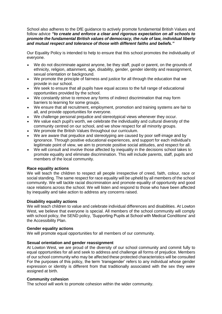School also adheres to the DfE guidance to actively promote fundamental British Values and follow advice *"to create and enforce a clear and rigorous expectation on all schools to promote the fundamental British values of democracy, the rule of law, individual liberty and mutual respect and tolerance of those with different faiths and beliefs."*

Our Equality Policy is intended to help to ensure that this school promotes the individuality of everyone.

- We do not discriminate against anyone, be they staff, pupil or parent, on the grounds of ethnicity, religion, attainment, age, disability, gender, gender identity and reassignment, sexual orientation or background.
- We promote the principle of fairness and justice for all through the education that we provide in our school.
- We seek to ensure that all pupils have equal access to the full range of educational opportunities provided by the school.
- We constantly strive to remove any forms of indirect discrimination that may form barriers to learning for some groups.
- We ensure that all recruitment, employment, promotion and training systems are fair to all, and provide opportunities for everyone.
- We challenge personal prejudice and stereotypical views whenever they occur.
- We value each pupil's worth, we celebrate the individuality and cultural diversity of the community centred on our school, and we show respect for all minority groups.
- We promote the British Values throughout our curriculum.
- We are aware that prejudice and stereotyping are caused by poor self-image and by ignorance. Through positive educational experiences, and support for each individual's legitimate point of view, we aim to promote positive social attitudes, and respect for all.
- We will consult and involve those affected by inequality in the decisions school takes to promote equality and eliminate discrimination. This will include parents, staff, pupils and members of the local community.

# **Race equality actions**

We will teach the children to respect all people irrespective of creed, faith, colour, race or social standing. The same respect for race equality will be upheld by all members of the school community. We will tackle racial discrimination and promote equality of opportunity and good race relations across the school. We will listen and respond to those who have been affected by inequality and take action to address any concerns raised.

# **Disability equality actions**

We will teach children to value and celebrate individual differences and disabilities. At Lowton West, we believe that everyone is special. All members of the school community will comply with school policy, the SEND policy, 'Supporting Pupils at School with Medical Conditions' and the Accessibility Plan.

#### **Gender equality actions**

We will promote equal opportunities for all members of our community.

# **Sexual orientation and gender reassignment**

At Lowton West, we are proud of the diversity of our school community and commit fully to equal opportunities for all and seek to address and challenge all forms of prejudice. Members of our school community who may be affected these protected characteristics will be consulted For the purposes of this policy, the term 'transgender' refers to any individual whose gender expression or identity is different from that traditionally associated with the sex they were assigned at birth.

# **Community cohesion**

The school will work to promote cohesion within the wider community.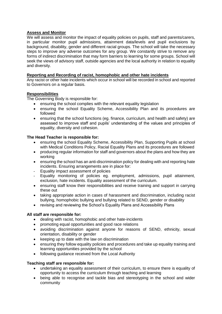# **Assess and Monitor**

We will assess and monitor the impact of equality policies on pupils, staff and parents/carers, in particular monitor pupil admissions, attainment data/levels and pupil exclusions by background, disability, gender and different racial groups. The school will take the necessary steps to improve any adverse outcomes for any group. We constantly strive to remove any forms of indirect discrimination that may form barriers to learning for some groups. School will seek the views of advisory staff, outside agencies and the local authority in relation to equality and diversity.

# **Reporting and Recording of racist, homophobic and other hate incidents**

Any racist or other hate incidents which occur in school will be recorded in school and reported to Governors on a regular basis.

# **Responsibilities**

The Governing Body is responsible for:

- ensuring the school complies with the relevant equality legislation
- ensuring the school Equality Scheme, Accessibility Plan and its procedures are followed
- ensuring that the school functions (eg. finance, curriculum, and health and safety) are assessed to improve staff and pupils' understanding of the values and principles of equality, diversity and cohesion.

#### **The Head Teacher is responsible for:**

- ensuring the school Equality Scheme, Accessibility Plan, Supporting Pupils at school with Medical Conditions Policy, Racial Equality Plans and its procedures are followed
- producing regular information for staff and governors about the plans and how they are working
- ensuring the school has an anti-discrimination policy for dealing with and reporting hate incidents. Ensuring arrangements are in place for:
- Equality impact assessment of policies
- Equality monitoring of policies eg. employment, admissions, pupil attainment, exclusion, hate incidents. Equality assessment of the curriculum.
- ensuring staff know their responsibilities and receive training and support in carrying these out
- taking appropriate action in cases of harassment and discrimination, including racist bullying, homophobic bullying and bullying related to SEND, gender or disability
- revising and reviewing the School's Equality Plans and Accessibility Plans

# **All staff are responsible for:**

- dealing with racist, homophobic and other hate-incidents
- promoting equal opportunities and good race relations
- avoiding discrimination against anyone for reasons of SEND, ethnicity, sexual orientation, disability or gender
- keeping up to date with the law on discrimination
- ensuring they follow equality policies and procedures and take up equality training and learning opportunities provided by the school
- following guidance received from the Local Authority

# **Teaching staff are responsible for:**

- undertaking an equality assessment of their curriculum, to ensure there is equality of opportunity to access the curriculum through teaching and learning
- being able to recognise and tackle bias and stereotyping in the school and wider community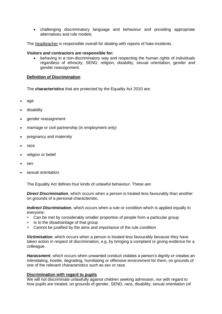challenging discriminatory language and behaviour and providing appropriate alternatives and role models

The headteacher is responsible overall for dealing with reports of hate-incidents.

#### **Visitors and contractors are responsible for:**

 behaving in a non-discriminatory way and respecting the human rights of individuals regardless of ethnicity, SEND, religion, disability, sexual orientation, gender and gender reassignment.

# **Definition of Discrimination**

The **characteristics** that are protected by the Equality Act 2010 are:

- age
- disability
- gender reassignment
- marriage or civil partnership (in employment only)
- pregnancy and maternity
- race
- religion or belief
- sex
- sexual orientation.

The Equality Act defines four kinds of unlawful behaviour. These are:

*Direct Discrimination*, which occurs when a person is treated less favourably than another on grounds of a personal characteristic.

*Indirect Discrimination*, which occurs when a rule or condition which is applied equally to everyone:

- Can be met by considerably smaller proportion of people from a particular group
- Is to the disadvantage of that group
- Cannot be justified by the aims and importance of the rule condition

*Victimisation*, which occurs when a person is treated less favourably because they have taken action in respect of discrimination, e.g. by bringing a complaint or giving evidence for a colleague.

*Harassment*, which occurs when unwanted conduct violates a person's dignity or creates an intimidating, hostile, degrading, humiliating or offensive environment for them, on grounds of one of the relevant characteristics such as sex or race.

#### **Discrimination with regard to pupils**

We will not discriminate unlawfully against children seeking admission, nor with regard to how pupils are treated, on grounds of gender, SEND, race, disability, sexual orientation (of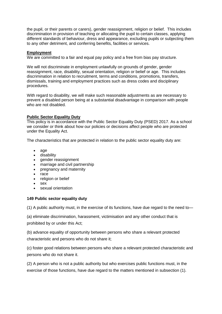the pupil, or their parents or carers), gender reassignment, religion or belief. This includes discrimination in provision of teaching or allocating the pupil to certain classes, applying different standards of behaviour, dress and appearance, excluding pupils or subjecting them to any other detriment, and conferring benefits, facilities or services.

#### **Employment**

We are committed to a fair and equal pay policy and a free from bias pay structure.

We will not discriminate in employment unlawfully on grounds of gender, gender reassignment, race, disability, sexual orientation, religion or belief or age. This includes discrimination in relation to recruitment, terms and conditions, promotions, transfers, dismissals, training and employment practices such as dress codes and disciplinary procedures.

With regard to disability, we will make such reasonable adjustments as are necessary to prevent a disabled person being at a substantial disadvantage in comparison with people who are not disabled.

# **Public Sector Equality Duty**

This policy is in accordance with the Public Sector Equality Duty (PSED) 2017. As a school we consider or think about how our policies or decisions affect people who are protected under the Equality Act.

The characteristics that are protected in relation to the public sector equality duty are:

- age
- disability
- gender reassignment
- marriage and civil partnership
- pregnancy and maternity
- race
- religion or belief
- sex
- sexual orientation

#### **149 Public sector equality duty**

(1) A public authority must, in the exercise of its functions, have due regard to the need to—

(a) eliminate discrimination, harassment, victimisation and any other conduct that is prohibited by or under this Act;

(b) advance equality of opportunity between persons who share a relevant protected characteristic and persons who do not share it;

(c) foster good relations between persons who share a relevant protected characteristic and persons who do not share it.

(2) A person who is not a public authority but who exercises public functions must, in the exercise of those functions, have due regard to the matters mentioned in subsection (1).